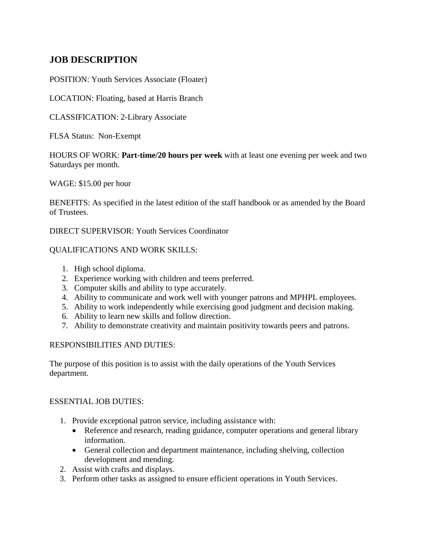# **JOB DESCRIPTION**

POSITION: Youth Services Associate (Floater)

LOCATION: Floating, based at Harris Branch

CLASSIFICATION: 2-Library Associate

FLSA Status: Non-Exempt

HOURS OF WORK: **Part-time/20 hours per week** with at least one evening per week and two Saturdays per month.

WAGE: \$15.00 per hour

BENEFITS: As specified in the latest edition of the staff handbook or as amended by the Board of Trustees.

DIRECT SUPERVISOR: Youth Services Coordinator

## QUALIFICATIONS AND WORK SKILLS:

- 1. High school diploma.
- 2. Experience working with children and teens preferred.
- 3. Computer skills and ability to type accurately.
- 4. Ability to communicate and work well with younger patrons and MPHPL employees.
- 5. Ability to work independently while exercising good judgment and decision making.
- 6. Ability to learn new skills and follow direction.
- 7. Ability to demonstrate creativity and maintain positivity towards peers and patrons.

## RESPONSIBILITIES AND DUTIES:

The purpose of this position is to assist with the daily operations of the Youth Services department.

## ESSENTIAL JOB DUTIES:

- 1. Provide exceptional patron service, including assistance with:
	- Reference and research, reading guidance, computer operations and general library information.
	- General collection and department maintenance, including shelving, collection development and mending.
- 2. Assist with crafts and displays.
- 3. Perform other tasks as assigned to ensure efficient operations in Youth Services.